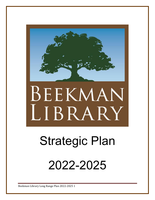

# BEEKMAN LIBRARY

# Strategic Plan

2022-2025

Beekman Library Long Range Plan 2022-2025 1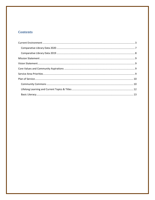## **Contents**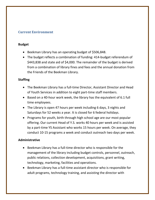#### <span id="page-2-0"></span>**Current Environment**

#### **Budget**

- Beekman Library has an operating budget of \$506,848.
- The budget reflects a combination of funding: 414-budget referendum of \$443,838 and state aid of \$4,000. The remainder of the budget is derived from a combination of library fines and fees and the annual donation from the Friends of the Beekman Library.

#### **Staffing**

- The Beekman Library has a full-time Director, Assistant Director and Head of Youth Services in addition to eight part-time staff members.
- Based on a 40-hour work week, the library has the equivalent of 6.1 full time employees.
- The Library is open 47 hours per week including 6 days, 3 nights and Saturdays for 52 weeks a year. It is closed for 6 federal holidays.
- Programs for youth, birth through high school age are our most popular offering. Our current Head of Y.S. works 40 hours per week and is assisted by a part-time YS Assistant who works 15 hours per week. On average, they conduct 10-15 programs a week and conduct outreach two days per week.

#### **Administrative**

- Beekman Library has a full-time director who is responsible for the management of the library including budget controls, personnel, outreach, public relations, collection development, acquisitions, grant writing, technology, marketing, facilities and operations.
- Beekman Library has a full-time assistant director who is responsible for adult programs, technology training, and assisting the director with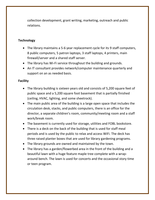collection development, grant writing, marketing, outreach and public relations.

#### **Technology**

- The library maintains a 5-6 year replacement cycle for its 9 staff computers, 8 public computers, 5 patron laptops, 3 staff laptops, 4 printers, main firewall/server and a shared staff server.
- The library has Wi-Fi service throughout the building and grounds.
- An IT consultant provides network/computer maintenance quarterly and support on an as needed basis.

#### **Facility**

- The library building is sixteen years old and consists of 5,200 square feet of public space and a 5,200 square foot basement that is partially finished (ceiling, HVAC, lighting, and some sheetrock).
- The main public area of the building is a large open space that includes the circulation desk, stacks, and public computers, there is an office for the director, a separate children's room, community/meeting room and a staff work/break room.
- The basement is currently used for storage, utilities and FOBL bookstore.
- There is a deck on the back of the building that is used for staff meal periods and is used by the public to relax and access WiFi. The deck has three raised planter boxes that are used for library gardening programs.
- The library grounds are owned and maintained by the town.
- The library has a garden/flowerbed area in the front of the building and a beautiful lawn with a huge feature maple tree complete with a wraparound bench. The lawn is used for concerts and the occasional story time or teen program.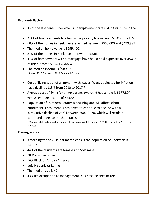#### **Economic Factors**

- As of the last census, Beekman's unemployment rate is 4.2% vs. 5.9% in the U.S.
- 2.3% of town residents live below the poverty line versus 15.6% in the U.S.
- 60% of the homes in Beekman are valued between \$300,000 and \$499,999
- The median home value is \$299,400.
- 87% of the homes in Beekman are owner occupied.
- 41% of homeowners with a mortgage have household expenses over 35%  $*$ of their income \*(rule of thumb is 28%)
- The median income is \$98,483 \*Source: 2010 Census and 2019 Estimated Census
- Cost of living is out of alignment with wages. Wages adjusted for inflation have declined 3.8% from 2010 to 2017.\*\*
- Average cost of living for a two parent, two child household is \$177,804 versus average income of \$75,350. \*\*
- Population of Dutchess County is declining and will affect school enrollment. Enrollment is projected to continue to decline with a cumulative decline of 26% between 2000-2028, which will result in continued increase in school taxes. \*\*

\*\* Source: Mid-Hudson Valley from Great Recession to 2030, October 2019 Hudson Valley Pattern for Progress

#### **Demographics**

- According to the 2019 estimated census the population of Beekman is 14,387
- 44% of the residents are female and 56% male
- 78 % are Caucasian.
- 16% Black or African American
- 10% Hispanic or Latino
- The median age is 42.
- 43% list occupation as management, business, science or arts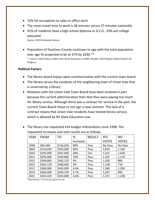- 22% list occupation as sales or office work
- The mean travel time to work is 38 minutes versus 27 minutes nationally
- 91% of residents have a high school diploma or G.E.D., 33% are college educated

Source: 2019 Estimated Census

• Population of Dutchess County continues to age with the total population over age 55 projected to be at 37% by 2030.\*\*

\*\* Source: Mid-Hudson Valley from Great Recession to 2030, October 2019 Hudson Valley Pattern for Progress

#### **Political Factors**

- The library board enjoys open communication with the current town board
- The library serves the residents of the neighboring town of Union Vale that is unserved by a library.
- Relations with the Union Vale Town Board have been strained in part because the current administration feels that they were paying too much for library service. Although there was a contract for service in the past, the current Town Board chose to not sign a new contract. This lack of a contract means that Union Vale residents have limited library service, which is allowed by NY State Education Law.

| <b>YEAR</b> | <b>FROM</b> | <b>TO</b> | %        | <b>RESULT</b> | <b>YES</b>   | <b>NO</b>    |
|-------------|-------------|-----------|----------|---------------|--------------|--------------|
|             |             |           | Increase |               | <b>VOTES</b> | <b>VOTES</b> |
| 1998        | \$82,460    | \$156,020 | 89%      | Pass          | No Data      | No Data      |
| 2004        | \$156,020   | \$295,000 | 89%      | Pass          | 1,833        | 1,150        |
| 2010        | \$295,000   | \$407,000 | 38%      | Fail          | 1,552        | 1,638        |
| 2011        | \$295,000   | \$349,883 | 19%      | Pass          | 1,435        | 1,110        |
| 2013        | \$349,883   | \$362,129 | 4%       | Pass          | 1,359        | 884          |
| 2015        | \$362,129   | \$380,000 | 5%       | Pass          | 1,138        | 739          |
| 2017        | \$380,000   | \$405,000 | 6.6%     | Pass          | 1,580        | 1,290        |
| 2019        | \$405,000   | \$424,329 | 4.7%     | Pass          | 1,597        | 894          |
| 2021        | \$424,329   | \$443,848 | 4.6%     | Pass          | 1,372        | 1,228        |

 The library has requested 414 budget referendums since 1998. The requested increases and vote results are as follows:

\*New Building \*\* 2% Tax Cap signed into law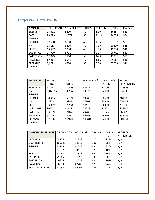# <span id="page-6-0"></span>Comparative Library Data 2020

| <b>GENERAL</b>   | <b>POPULATION</b> | <b>SQUARE FEET</b> | <b>HOURS</b> | FT EQUIV | <b>VISITS</b> | Per Cap |
|------------------|-------------------|--------------------|--------------|----------|---------------|---------|
| <b>BEEKMAN</b>   | 14,621            | 5200               | 50           | 6.10     | 16687         | \$29    |
| <b>EAST</b>      | 29,029            | 11972              | 59           | 11.14    | 46906         | \$34    |
| <b>FISHKILL</b>  |                   |                    |              |          |               |         |
| <b>FISHKILL</b>  | 12,608            | 8650               | 43           | 11.50    | 33882         | \$53    |
| <b>HP</b>        | 18,183            | 3296               | 52           | 7.79     | 28800         | \$25    |
| <b>KENT</b>      | 13,507            | 10300              | 49           | 9.83     | 19890         | \$46    |
| LAGRANGE         | 15,730            | 5751               | 47           | 8.57     | 20,000        | \$43    |
| <b>PATTERSON</b> | 12,023            | 7500               | 50           | 14.30    | 11882         | \$77    |
| <b>PAWLING</b>   | 8,463             | 3148               | 50           | 6.61     | 46963         | \$53    |
| PLEASANT         | 9,672             | 4800               | 53           | 5.50     | 35065         | \$46    |
| <b>VALLEY</b>    |                   |                    |              |          |               |         |

| <b>FINANCIAL</b> | <b>TOTAL</b>  | <b>PUBLIC</b> | <b>MATERIALS \$</b> | <b>DIRECTOR'S</b> | <b>TOTAL</b>      |
|------------------|---------------|---------------|---------------------|-------------------|-------------------|
|                  | <b>BUDGET</b> | <b>FUNDS</b>  |                     | <b>SALARY</b>     | <b>PERSONNELS</b> |
| <b>BEEKMAN</b>   | 524002        | 424329        | 48925               | 72000             | 284928            |
| <b>EAST</b>      | 1012115       | 983592        | 94874               | 92000             | 639745            |
| <b>FISHKILL</b>  |               |               |                     |                   |                   |
| <b>FISHKILL</b>  | 680012        | 668176        | 54387               | 78000             | 481486            |
| HP               | 479794        | 459954        | 26102               | 80366             | 351409            |
| <b>KENT</b>      | 635071        | 620596        | 58420               | 80430             | 440306            |
| LAGRANGE         | 807711        | 681840        | 73282               | 72828             | 384507            |
| <b>PATTERSON</b> | 938376        | 921897        | 29782               | 77175             | 566025            |
| <b>PAWLING</b>   | 514151        | 450000        | 45168               | 66560             | 334736            |
| PLEASANT         | 525447        | 444800        | 103816              | 82000             | 301361            |
| <b>VALLEY</b>    |               |               |                     |                   |                   |

| <b>MATERIALS/SERVICES</b> | <b>CIRCULATION</b> | <b>HOLDINGS</b> | Turnover | <b>COMP</b> | PROGRAM    |
|---------------------------|--------------------|-----------------|----------|-------------|------------|
|                           |                    |                 |          | <b>USE</b>  | ATTENDANCE |
| <b>BEEKMAN</b>            | 58236              | 51129           | 1.13     | 2194        | N/A        |
| <b>EAST FISHKILL</b>      | 155743             | 83213           | 1.87     | 2844        | N/A        |
| <b>FISHKILL</b>           | 52145              | 63756           | .82      | 2203        | N/A        |
| <b>HP</b>                 | 42237              | 58473           | .72      | 1044        | N/A        |
| <b>KENT</b>               | 52068              | 78317           | .66      | 1661        | N/A        |
| LAGRANGE                  | 79866              | 61298           | 1.30     | 902         | N/A        |
| <b>PATTERSON</b>          | 40626              | 48789           | .83      | 1073        | N/A        |
| <b>PAWLING</b>            | 38983              | 47785           | .82      | 2472        | N/A        |
| PLEASANT VALLEY           | 71090              | 56062           | 1.26     | 4757        | N/A        |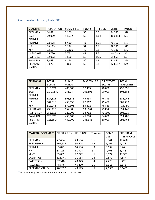# <span id="page-7-0"></span>Comparative Library Data 2019

| <b>GENERAL</b>   | <b>POPULATION</b> | <b>SQUARE FEET</b> | <b>HOURS</b> | FT EQUIV | <b>VISITS</b> | PerCap |
|------------------|-------------------|--------------------|--------------|----------|---------------|--------|
| <b>BEEKMAN</b>   | 14,621            | 5,200              | 50           | 6.2      | 44,573        | \$28   |
| <b>EAST</b>      | 29,029            | 11,972             | 59           | 13.4     | 100,183       | \$33   |
| <b>FISHKILL</b>  |                   |                    |              |          |               |        |
| <b>FISHKILL</b>  | 12,608            | 8,650              | 43           | 11.5     | 79,790        | \$47   |
| <b>HP</b>        | 18,183            | 3,296              | 52           | 8.6      | 48,333        | \$25   |
| <b>KENT</b>      | 13,507            | 10,300             | 49           | 9.5      | 77,136        | \$43   |
| LAGRANGE         | 15,730            | 5,751              | 47           | 9.3      | No Data       | \$41   |
| <b>PATTERSON</b> | 12,023            | 7,500              | 50           | 16.5     | 59,699        | \$77   |
| PAWLING          | 8,463             | 3,148              | 50           | 6.8      | 71,380        | \$53   |
| PLEASANT         | 9,672             | 4,800              | 53           | 5.8      | 42,661*       | \$45   |
| VALLEY           |                   |                    |              |          |               |        |

| <b>FINANCIAL</b> | <b>TOTAL</b>  | <b>PUBLIC</b> | MATERIALS \$ | <b>DIRECTOR'S</b> | <b>TOTAL</b>      |
|------------------|---------------|---------------|--------------|-------------------|-------------------|
|                  | <b>BUDGET</b> | <b>FUNDS</b>  |              | SALARY            | <b>PERSONNELS</b> |
| <b>BEEKMAN</b>   | 515.672       | 405,000       | 52,453       | 70,000            | 290,556           |
| <b>EAST</b>      | 1,017,530     | 956,084       | 103,593      | 90,000            | 603,888           |
| <b>FISHKILL</b>  |               |               |              |                   |                   |
| <b>FISHKILL</b>  | 627,515       | 596,586       | 46,534       | 76,843            | 338,042           |
| <b>HP</b>        | 502,516       | 450,036       | 22,567       | 79,402            | 387,719           |
| <b>KENT</b>      | 612,943       | 579,306       | 56,812       | 78,853            | 415,490           |
| LAGRANGE         | 739,113       | 652,308       | 108,664      | 71400             | 394,148           |
| <b>PATTERSON</b> | 953,616       | 920,208       | 38,762       | 73,,500           | 604,019           |
| PAWLING          | 520,870       | 450,000       | 46,788       | 64,000            | 324,786           |
| PLEASANT         | 728,350*      | 440,000       | 136,388      | 80,000            | 292,764           |
| <b>VALLEY</b>    |               |               |              |                   |                   |

| <b>MATERIALS/SERVICES</b> | <b>CIRCULATION</b> | <b>HOLDINGS</b> | Turnover | <b>COMP</b> | PROGRAM           |
|---------------------------|--------------------|-----------------|----------|-------------|-------------------|
|                           |                    |                 |          | <b>USE</b>  | <b>ATTENDANCE</b> |
| <b>BEEKMAN</b>            | 77,454             | 49,654          | 1.6      | 8,041       | 12,620            |
| <b>EAST FISHKILL</b>      | 199,687            | 90,504          | 2.2      | 6,165       | 7,478             |
| <b>FISHKILL</b>           | 85,023             | 64,556          | 1.3      | 6,632       | 6,768             |
| <b>HP</b>                 | 58,125             | 61,914          | .9       | 4,401       | 3,446             |
| <b>KENT</b>               | 83,885             | 77,722          | 1.1      | 8,072       | 11,951            |
| LAGRANGE                  | 126,449            | 71,064          | 1.8      | 2,579       | 7,587             |
| <b>PATTERSON</b>          | 67,548             | 48,943          | 1.4      | 7,426       | 9,429             |
| <b>PAWLING</b>            | 48,576             | 46,410          | 1.0      | 8,616       | 8,646             |
| PLEASANT VALLEY           | 70,292*            | 48,173          | 1.5      | 2,636*      | $6,645*$          |

**\***Pleasant Valley was closed and relocated after a fire in 2019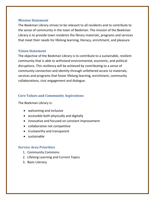#### <span id="page-8-0"></span>**Mission Statement**

The Beekman Library strives to be relevant to all residents and to contribute to the sense of community in the town of Beekman. The mission of the Beekman Library is to provide town residents the library materials, programs and services that meet their needs for lifelong learning, literacy, enrichment, and pleasure.

#### <span id="page-8-1"></span>**Vision Statement**

The objective of the Beekman Library is to contribute to a sustainable, resilient community that is able to withstand environmental, economic, and political disruptions. This resiliency will be achieved by contributing to a sense of community connection and identity through unfettered access to materials, services and programs that foster lifelong learning, enrichment, community collaborations, civic engagement and dialogue.

## <span id="page-8-2"></span>**Core Values and Community Aspirations**

The Beekman Library is:

- welcoming and inclusive
- accessible both physically and digitally
- innovative and focused on constant improvement
- collaborative not competitive
- trustworthy and transparent
- sustainable

#### <span id="page-8-3"></span>**Service Area Priorities**

- 1. Community Commons
- 2. Lifelong Learning and Current Topics
- 3. Basic Literacy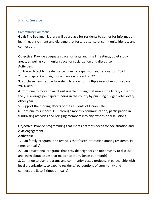#### <span id="page-9-0"></span>**Plan of Service**

#### <span id="page-9-1"></span>Community Commons

**Goal:** The Beekman Library will be a place for residents to gather for information, learning, enrichment and dialogue that fosters a sense of community identity and connection.

**Objective:** Provide adequate space for large and small meetings, quiet study areas, as well as community space for socialization and discourse.

#### **Activities:**

1. Hire architect to create master plan for expansion and renovation. 2021

- 2. Start Capital Campaign for expansion project. 2022
- 3. Purchase new flexible furnishing to allow for multiple uses of existing space 2021-2022

4. Continue to move toward sustainable funding that moves the library closer to the \$50 average per capita funding in the county by pursuing budget votes every other year.

5. Support the funding efforts of the residents of Union Vale.

6. Continue to support FOBL through monthly communication, participation in fundraising activities and bringing members into any expansion discussions.

**Objective:** Provide programming that meets patron's needs for socialization and civic engagement.

#### **Activities:**

1. Plan family programs and festivals that foster interaction among residents. (4 times annually)

2. Plan educational programs that provide neighbors an opportunity to discuss and learn about issues that matter to them. (once per month)

3. Continue to plan programs and community-based projects, in partnership with local organizations, to expand residents' perceptions of community and connection. (3 to 4 times annually)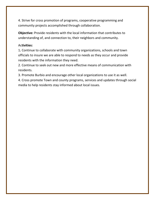4. Strive for cross promotion of programs, cooperative programming and community projects accomplished through collaboration.

**Objective:** Provide residents with the local information that contributes to understanding of, and connection to, their neighbors and community.

#### Ac**tivities:**

1**.** Continue to collaborate with community organizations, schools and town officials to insure we are able to respond to needs as they occur and provide residents with the information they need.

2. Continue to seek out new and more effective means of communication with residents.

3. Promote Burbio and encourage other local organizations to use it as well.

4. Cross promote Town and county programs, services and updates through social media to help residents stay informed about local issues.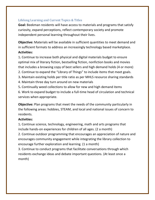#### <span id="page-11-0"></span>Lifelong Learning and Current Topics & Titles

**Goal:** Beekman residents will have access to materials and programs that satisfy curiosity, expand perceptions, reflect contemporary society and promote independent personal learning throughout their lives.

**Objective:** Materials will be available in sufficient quantities to meet demand and in sufficient formats to address an increasingly technology based marketplace. **Activities:** 

1**.** Continue to increase both physical and digital materials budget to ensure optimal mix of literary fiction, bestselling fiction, nonfiction books and movies that includes a browsing copy of best sellers and high demand holds (4 or more)

- 2. Continue to expand the "Library of Things" to include items that meet goals.
- 3**.** Maintain existing holds per title ratio as per MHLS resource sharing standards
- 4. Maintain three day turn around on new materials
- 5**.** Continually weed collections to allow for new and high demand items

6. Work to expand budget to include a full-time head of circulation and technical services when appropriate.

**Objective:** Plan programs that meet the needs of the community particularly in the following areas: hobbies, STEAM, and local and national issues of concern to residents.

#### **Activities:**

1**.** Continue science, technology, engineering, math and arts programs that include hands-on experiences for children of all ages. (2 a month)

2. Continue outdoor programming that encourages an appreciation of nature and encourages community engagement while integrating the library collection to encourage further exploration and learning. (1 a month)

3. Continue to conduct programs that facilitate conversations through which residents exchange ideas and debate important questions. (At least once a month)